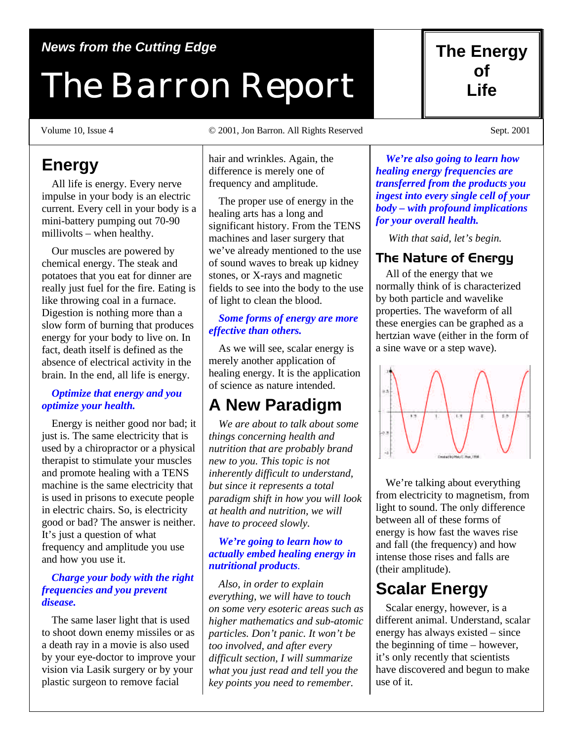## *News from the Cutting Edge*

# *The Barron Report*

Volume 10, Issue 4  $\odot$  2001, Jon Barron. All Rights Reserved Sept. 2001

# **Energy**

All life is energy. Every nerve impulse in your body is an electric current. Every cell in your body is a mini-battery pumping out 70-90 millivolts – when healthy.

Our muscles are powered by chemical energy. The steak and potatoes that you eat for dinner are really just fuel for the fire. Eating is like throwing coal in a furnace. Digestion is nothing more than a slow form of burning that produces energy for your body to live on. In fact, death itself is defined as the absence of electrical activity in the brain. In the end, all life is energy.

#### *Optimize that energy and you optimize your health.*

Energy is neither good nor bad; it just is. The same electricity that is used by a chiropractor or a physical therapist to stimulate your muscles and promote healing with a TENS machine is the same electricity that is used in prisons to execute people in electric chairs. So, is electricity good or bad? The answer is neither. It's just a question of what frequency and amplitude you use and how you use it.

#### *Charge your body with the right frequencies and you prevent disease.*

The same laser light that is used to shoot down enemy missiles or as a death ray in a movie is also used by your eye-doctor to improve your vision via Lasik surgery or by your plastic surgeon to remove facial

hair and wrinkles. Again, the difference is merely one of frequency and amplitude.

The proper use of energy in the healing arts has a long and significant history. From the TENS machines and laser surgery that we've already mentioned to the use of sound waves to break up kidney stones, or X-rays and magnetic fields to see into the body to the use of light to clean the blood.

#### *Some forms of energy are more effective than others.*

As we will see, scalar energy is merely another application of healing energy. It is the application of science as nature intended.

# **A New Paradigm**

*We are about to talk about some things concerning health and nutrition that are probably brand new to you. This topic is not inherently difficult to understand, but since it represents a total paradigm shift in how you will look at health and nutrition, we will have to proceed slowly.* 

#### *We're going to learn how to actually embed healing energy in nutritional products.*

*Also, in order to explain everything, we will have to touch on some very esoteric areas such as higher mathematics and sub-atomic particles. Don't panic. It won't be too involved, and after every difficult section, I will summarize what you just read and tell you the key points you need to remember.*

*We're also going to learn how healing energy frequencies are transferred from the products you ingest into every single cell of your body – with profound implications for your overall health.*

 *With that said, let's begin.*

## The Nature of Energy

All of the energy that we normally think of is characterized by both particle and wavelike properties. The waveform of all these energies can be graphed as a hertzian wave (either in the form of a sine wave or a step wave).



We're talking about everything from electricity to magnetism, from light to sound. The only difference between all of these forms of energy is how fast the waves rise and fall (the frequency) and how intense those rises and falls are (their amplitude).

# **Scalar Energy**

Scalar energy, however, is a different animal. Understand, scalar energy has always existed – since the beginning of time – however, it's only recently that scientists have discovered and begun to make use of it.

# **The Energy of Life**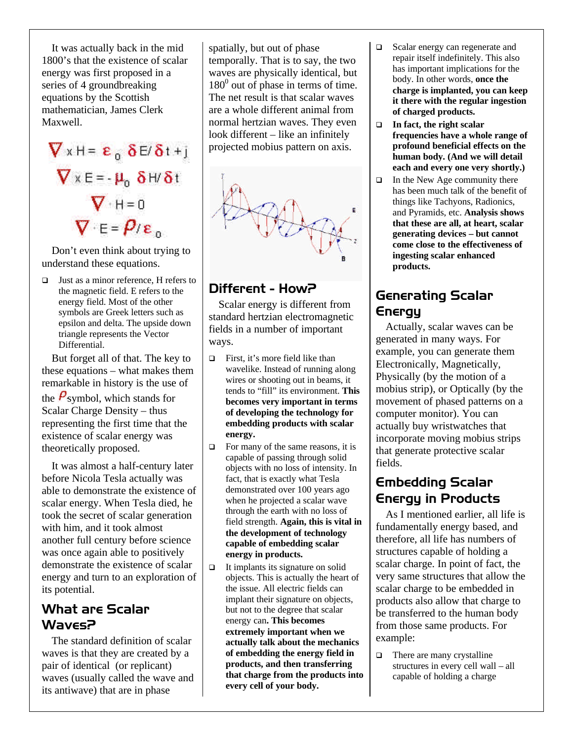It was actually back in the mid 1800's that the existence of scalar energy was first proposed in a series of 4 groundbreaking equations by the Scottish mathematician, James Clerk Maxwell.

 $\nabla$  x H =  $\epsilon_0 \delta E/\delta t + j$  $\nabla \times E = -\mu_0 \delta H/\delta t$  $\nabla \cdot H = 0$  $\nabla \cdot \mathbf{E} = \boldsymbol{\rho}/\varepsilon_0$ 

Don't even think about trying to understand these equations.

 $\Box$  Just as a minor reference. H refers to the magnetic field. E refers to the energy field. Most of the other symbols are Greek letters such as epsilon and delta. The upside down triangle represents the Vector Differential.

But forget all of that. The key to these equations – what makes them remarkable in history is the use of

the  $P$ symbol, which stands for Scalar Charge Density – thus representing the first time that the existence of scalar energy was theoretically proposed.

It was almost a half-century later before Nicola Tesla actually was able to demonstrate the existence of scalar energy. When Tesla died, he took the secret of scalar generation with him, and it took almost another full century before science was once again able to positively demonstrate the existence of scalar energy and turn to an exploration of its potential.

## What are Scalar Waves?

The standard definition of scalar waves is that they are created by a pair of identical (or replicant) waves (usually called the wave and its antiwave) that are in phase

spatially, but out of phase temporally. That is to say, the two waves are physically identical, but  $180<sup>0</sup>$  out of phase in terms of time. The net result is that scalar waves are a whole different animal from normal hertzian waves. They even look different – like an infinitely projected mobius pattern on axis.



## Different - How?

Scalar energy is different from standard hertzian electromagnetic fields in a number of important ways.

- $\Box$  First, it's more field like than wavelike. Instead of running along wires or shooting out in beams, it tends to "fill" its environment. **This becomes very important in terms of developing the technology for embedding products with scalar energy.**
- $\Box$  For many of the same reasons, it is capable of passing through solid objects with no loss of intensity. In fact, that is exactly what Tesla demonstrated over 100 years ago when he projected a scalar wave through the earth with no loss of field strength. **Again, this is vital in the development of technology capable of embedding scalar energy in products.**
- $\Box$  It implants its signature on solid objects. This is actually the heart of the issue. All electric fields can implant their signature on objects, but not to the degree that scalar energy can**. This becomes extremely important when we actually talk about the mechanics of embedding the energy field in products, and then transferring that charge from the products into every cell of your body.**
- □ Scalar energy can regenerate and repair itself indefinitely. This also has important implications for the body. In other words, **once the charge is implanted, you can keep it there with the regular ingestion of charged products.**
- q **In fact, the right scalar frequencies have a whole range of profound beneficial effects on the human body. (And we will detail each and every one very shortly.)**
- $\Box$  In the New Age community there has been much talk of the benefit of things like Tachyons, Radionics, and Pyramids, etc. **Analysis shows that these are all, at heart, scalar generating devices – but cannot come close to the effectiveness of ingesting scalar enhanced products.**

## Generating Scalar Energy

Actually, scalar waves can be generated in many ways. For example, you can generate them Electronically, Magnetically, Physically (by the motion of a mobius strip), or Optically (by the movement of phased patterns on a computer monitor). You can actually buy wristwatches that incorporate moving mobius strips that generate protective scalar fields.

## Embedding Scalar Energy in Products

As I mentioned earlier, all life is fundamentally energy based, and therefore, all life has numbers of structures capable of holding a scalar charge. In point of fact, the very same structures that allow the scalar charge to be embedded in products also allow that charge to be transferred to the human body from those same products. For example:

 $\Box$  There are many crystalline structures in every cell wall – all capable of holding a charge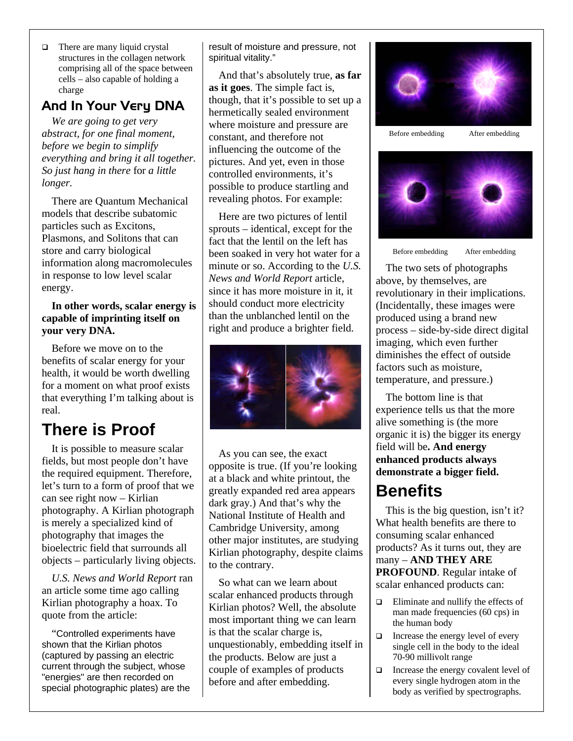$\Box$  There are many liquid crystal structures in the collagen network comprising all of the space between cells – also capable of holding a charge

## And In Your Very DNA

*We are going to get very abstract, for one final moment, before we begin to simplify everything and bring it all together. So just hang in there* for *a little longer.*

There are Quantum Mechanical models that describe subatomic particles such as Excitons, Plasmons, and Solitons that can store and carry biological information along macromolecules in response to low level scalar energy.

#### **In other words, scalar energy is capable of imprinting itself on your very DNA.**

Before we move on to the benefits of scalar energy for your health, it would be worth dwelling for a moment on what proof exists that everything I'm talking about is real.

# **There is Proof**

It is possible to measure scalar fields, but most people don't have the required equipment. Therefore, let's turn to a form of proof that we can see right now – Kirlian photography. A Kirlian photograph is merely a specialized kind of photography that images the bioelectric field that surrounds all objects – particularly living objects.

*U.S. News and World Report* ran an article some time ago calling Kirlian photography a hoax. To quote from the article:

"Controlled experiments have shown that the Kirlian photos (captured by passing an electric current through the subject, whose "energies" are then recorded on special photographic plates) are the result of moisture and pressure, not spiritual vitality."

And that's absolutely true, **as far as it goes**. The simple fact is, though, that it's possible to set up a hermetically sealed environment where moisture and pressure are constant, and therefore not influencing the outcome of the pictures. And yet, even in those controlled environments, it's possible to produce startling and revealing photos. For example:

Here are two pictures of lentil sprouts – identical, except for the fact that the lentil on the left has been soaked in very hot water for a minute or so. According to the *U.S. News and World Report* article, since it has more moisture in it, it should conduct more electricity than the unblanched lentil on the right and produce a brighter field.



As you can see, the exact opposite is true. (If you're looking at a black and white printout, the greatly expanded red area appears dark gray.) And that's why the National Institute of Health and Cambridge University, among other major institutes, are studying Kirlian photography, despite claims to the contrary.

So what can we learn about scalar enhanced products through Kirlian photos? Well, the absolute most important thing we can learn is that the scalar charge is, unquestionably, embedding itself in the products. Below are just a couple of examples of products before and after embedding.



Before embedding After embedding



Before embedding After embedding

The two sets of photographs above, by themselves, are revolutionary in their implications. (Incidentally, these images were produced using a brand new process – side-by-side direct digital imaging, which even further diminishes the effect of outside factors such as moisture, temperature, and pressure.)

The bottom line is that experience tells us that the more alive something is (the more organic it is) the bigger its energy field will be**. And energy enhanced products always demonstrate a bigger field.**

# **Benefits**

This is the big question, isn't it? What health benefits are there to consuming scalar enhanced products? As it turns out, they are many – **AND THEY ARE PROFOUND**. Regular intake of scalar enhanced products can:

- $\Box$  Eliminate and nullify the effects of man made frequencies (60 cps) in the human body
- $\Box$  Increase the energy level of every single cell in the body to the ideal 70-90 millivolt range
- $\Box$  Increase the energy covalent level of every single hydrogen atom in the body as verified by spectrographs.